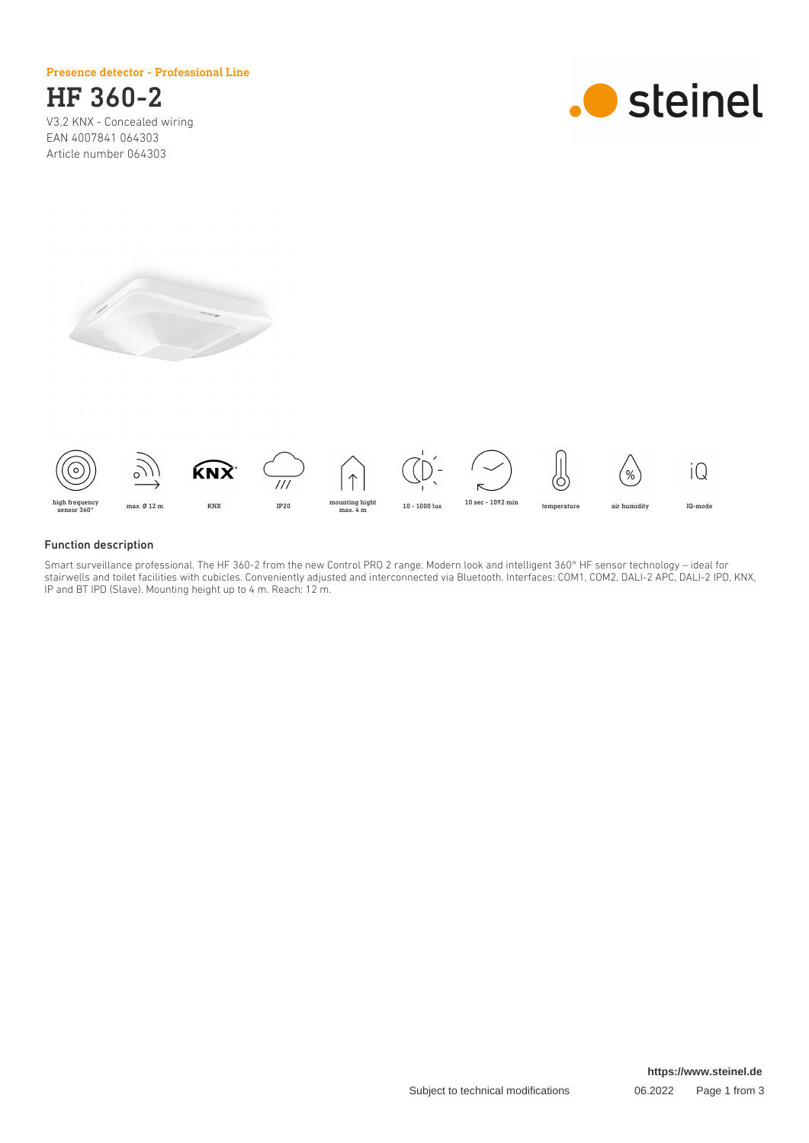Presence detector - Professional Line



V3.2 KNX - Concealed wiring EAN 4007841 064303 Article number 064303







### Function description

Smart surveillance professional. The HF 360-2 from the new Control PRO 2 range. Modern look and intelligent 360° HF sensor technology – ideal for stairwells and toilet facilities with cubicles. Conveniently adjusted and interconnected via Bluetooth. Interfaces: COM1, COM2, DALI-2 APC, DALI-2 IPD, KNX, IP and BT IPD (Slave). Mounting height up to 4 m. Reach: 12 m.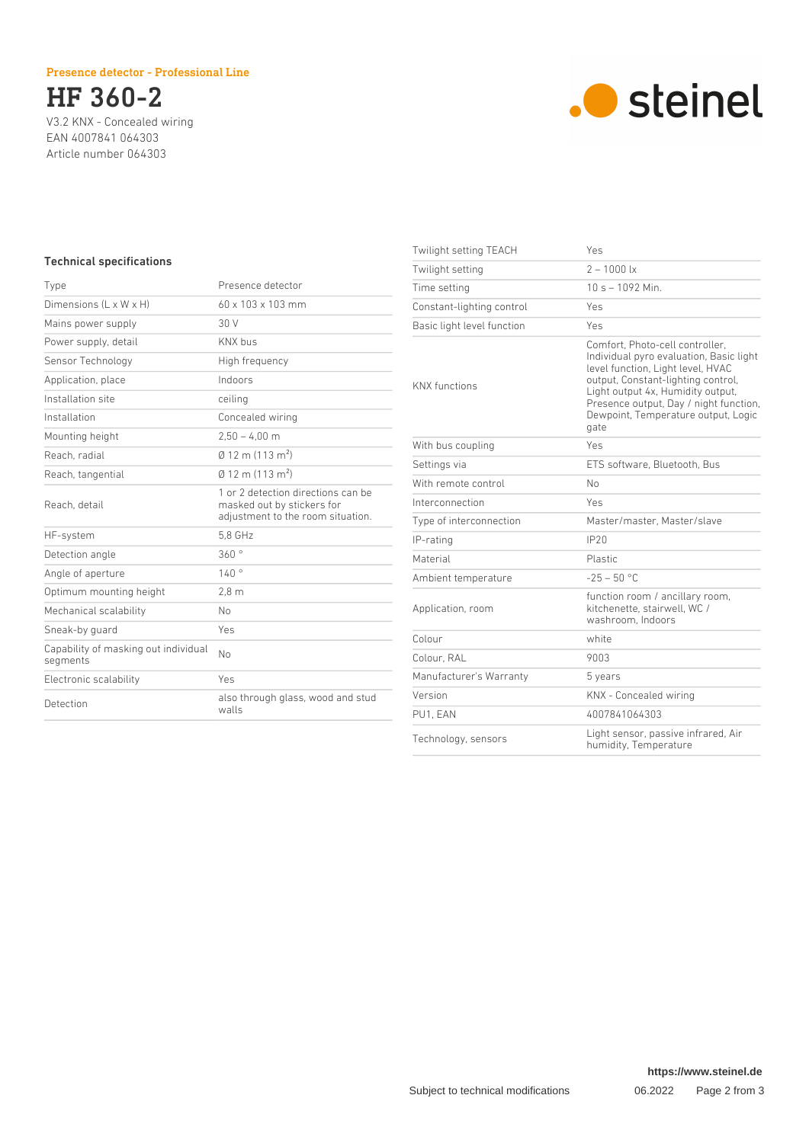## Presence detector - Professional Line



V3.2 KNX - Concealed wiring EAN 4007841 064303 Article number 064303



# Technical specifications

| Type                                             | Presence detector                                                                                     |
|--------------------------------------------------|-------------------------------------------------------------------------------------------------------|
| Dimensions $(L \times W \times H)$               | $60 \times 103 \times 103$ mm                                                                         |
| Mains power supply                               | 30 V                                                                                                  |
| Power supply, detail                             | <b>KNX hus</b>                                                                                        |
| Sensor Technology                                | High frequency                                                                                        |
| Application, place                               | Indoors                                                                                               |
| Installation site                                | ceiling                                                                                               |
| Installation                                     | Concealed wiring                                                                                      |
| Mounting height                                  | $2.50 - 4.00$ m                                                                                       |
| Reach, radial                                    | $\emptyset$ 12 m (113 m <sup>2</sup> )                                                                |
| Reach, tangential                                | $\emptyset$ 12 m (113 m <sup>2</sup> )                                                                |
| Reach, detail                                    | 1 or 2 detection directions can be<br>masked out by stickers for<br>adjustment to the room situation. |
| HF-system                                        | 5.8 GHz                                                                                               |
| Detection angle                                  | 360°                                                                                                  |
| Angle of aperture                                | 140°                                                                                                  |
| Optimum mounting height                          | 2.8 <sub>m</sub>                                                                                      |
| Mechanical scalability                           | No                                                                                                    |
| Sneak-by quard                                   | Yes                                                                                                   |
| Capability of masking out individual<br>segments | N <sub>0</sub>                                                                                        |
| Electronic scalability                           | Yes                                                                                                   |
| Detection                                        | also through glass, wood and stud<br>walls                                                            |

| Twilight setting TEACH     | Yes                                                                                                                                                                                                                                                                                 |
|----------------------------|-------------------------------------------------------------------------------------------------------------------------------------------------------------------------------------------------------------------------------------------------------------------------------------|
| Twilight setting           | $2 - 1000$ lx                                                                                                                                                                                                                                                                       |
| Time setting               | $10 s - 1092$ Min.                                                                                                                                                                                                                                                                  |
| Constant-lighting control  | Yes                                                                                                                                                                                                                                                                                 |
| Basic light level function | Yes                                                                                                                                                                                                                                                                                 |
| <b>KNX</b> functions       | Comfort, Photo-cell controller,<br>Individual pyro evaluation, Basic light<br>level function, Light level, HVAC<br>output, Constant-lighting control,<br>Light output 4x, Humidity output,<br>Presence output, Day / night function,<br>Dewpoint, Temperature output, Logic<br>gate |
| With bus coupling          | Yes                                                                                                                                                                                                                                                                                 |
| Settings via               | ETS software. Bluetooth. Bus                                                                                                                                                                                                                                                        |
| With remote control        | No                                                                                                                                                                                                                                                                                  |
| Interconnection            | Yes                                                                                                                                                                                                                                                                                 |
| Type of interconnection    | Master/master. Master/slave                                                                                                                                                                                                                                                         |
| IP-rating                  | IP20                                                                                                                                                                                                                                                                                |
| Material                   | Plastic                                                                                                                                                                                                                                                                             |
| Ambient temperature        | $-25 - 50$ °C                                                                                                                                                                                                                                                                       |
| Application, room          | function room / ancillary room,<br>kitchenette, stairwell, WC /<br>washroom. Indoors                                                                                                                                                                                                |
| Colour                     | white                                                                                                                                                                                                                                                                               |
| Colour, RAL                | 9003                                                                                                                                                                                                                                                                                |
| Manufacturer's Warranty    | 5 years                                                                                                                                                                                                                                                                             |
| Version                    | KNX - Concealed wiring                                                                                                                                                                                                                                                              |
| PU1, EAN                   | 4007841064303                                                                                                                                                                                                                                                                       |
| Technology, sensors        | Light sensor, passive infrared, Air<br>humidity, Temperature                                                                                                                                                                                                                        |